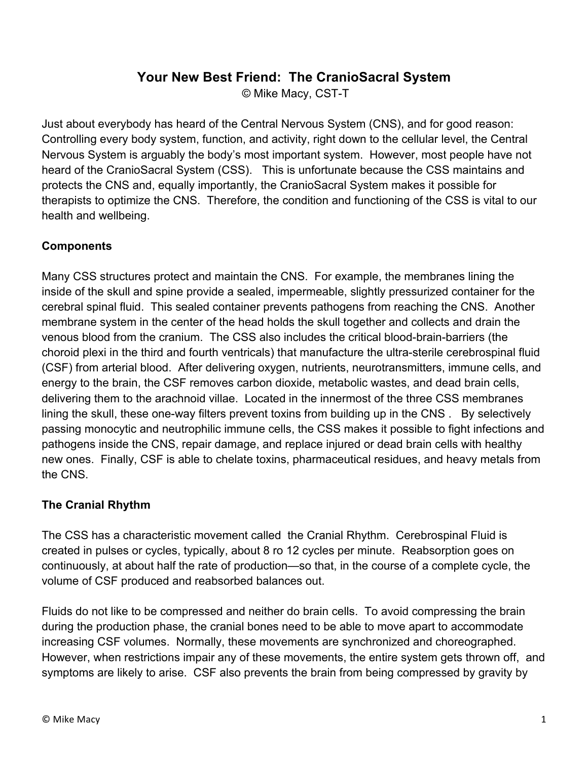## **Your New Best Friend: The CranioSacral System**

© Mike Macy, CST-T

Just about everybody has heard of the Central Nervous System (CNS), and for good reason: Controlling every body system, function, and activity, right down to the cellular level, the Central Nervous System is arguably the body's most important system. However, most people have not heard of the CranioSacral System (CSS). This is unfortunate because the CSS maintains and protects the CNS and, equally importantly, the CranioSacral System makes it possible for therapists to optimize the CNS. Therefore, the condition and functioning of the CSS is vital to our health and wellbeing.

## **Components**

Many CSS structures protect and maintain the CNS. For example, the membranes lining the inside of the skull and spine provide a sealed, impermeable, slightly pressurized container for the cerebral spinal fluid. This sealed container prevents pathogens from reaching the CNS. Another membrane system in the center of the head holds the skull together and collects and drain the venous blood from the cranium. The CSS also includes the critical blood-brain-barriers (the choroid plexi in the third and fourth ventricals) that manufacture the ultra-sterile cerebrospinal fluid (CSF) from arterial blood. After delivering oxygen, nutrients, neurotransmitters, immune cells, and energy to the brain, the CSF removes carbon dioxide, metabolic wastes, and dead brain cells, delivering them to the arachnoid villae. Located in the innermost of the three CSS membranes lining the skull, these one-way filters prevent toxins from building up in the CNS . By selectively passing monocytic and neutrophilic immune cells, the CSS makes it possible to fight infections and pathogens inside the CNS, repair damage, and replace injured or dead brain cells with healthy new ones. Finally, CSF is able to chelate toxins, pharmaceutical residues, and heavy metals from the CNS.

## **The Cranial Rhythm**

The CSS has a characteristic movement called the Cranial Rhythm. Cerebrospinal Fluid is created in pulses or cycles, typically, about 8 ro 12 cycles per minute. Reabsorption goes on continuously, at about half the rate of production—so that, in the course of a complete cycle, the volume of CSF produced and reabsorbed balances out.

Fluids do not like to be compressed and neither do brain cells. To avoid compressing the brain during the production phase, the cranial bones need to be able to move apart to accommodate increasing CSF volumes. Normally, these movements are synchronized and choreographed. However, when restrictions impair any of these movements, the entire system gets thrown off, and symptoms are likely to arise. CSF also prevents the brain from being compressed by gravity by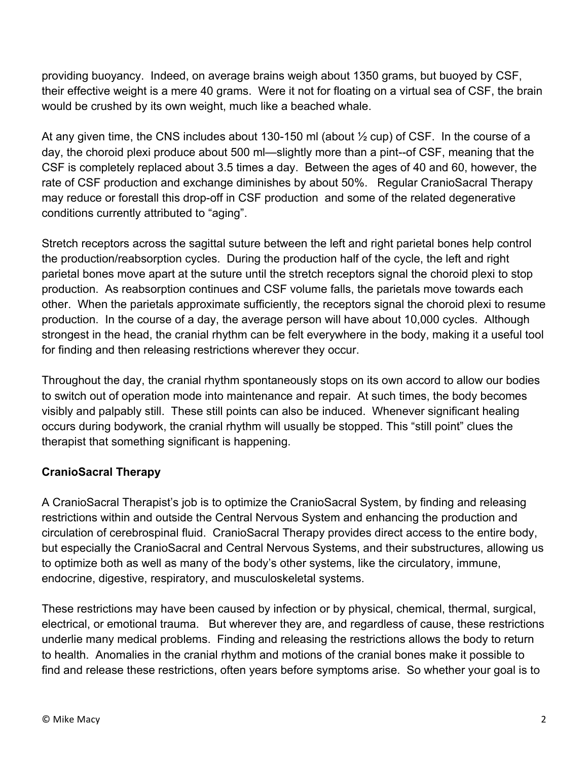providing buoyancy. Indeed, on average brains weigh about 1350 grams, but buoyed by CSF, their effective weight is a mere 40 grams. Were it not for floating on a virtual sea of CSF, the brain would be crushed by its own weight, much like a beached whale.

At any given time, the CNS includes about 130-150 ml (about  $\frac{1}{2}$  cup) of CSF. In the course of a day, the choroid plexi produce about 500 ml—slightly more than a pint--of CSF, meaning that the CSF is completely replaced about 3.5 times a day. Between the ages of 40 and 60, however, the rate of CSF production and exchange diminishes by about 50%. Regular CranioSacral Therapy may reduce or forestall this drop-off in CSF production and some of the related degenerative conditions currently attributed to "aging".

Stretch receptors across the sagittal suture between the left and right parietal bones help control the production/reabsorption cycles. During the production half of the cycle, the left and right parietal bones move apart at the suture until the stretch receptors signal the choroid plexi to stop production. As reabsorption continues and CSF volume falls, the parietals move towards each other. When the parietals approximate sufficiently, the receptors signal the choroid plexi to resume production. In the course of a day, the average person will have about 10,000 cycles. Although strongest in the head, the cranial rhythm can be felt everywhere in the body, making it a useful tool for finding and then releasing restrictions wherever they occur.

Throughout the day, the cranial rhythm spontaneously stops on its own accord to allow our bodies to switch out of operation mode into maintenance and repair. At such times, the body becomes visibly and palpably still. These still points can also be induced. Whenever significant healing occurs during bodywork, the cranial rhythm will usually be stopped. This "still point" clues the therapist that something significant is happening.

## **CranioSacral Therapy**

A CranioSacral Therapist's job is to optimize the CranioSacral System, by finding and releasing restrictions within and outside the Central Nervous System and enhancing the production and circulation of cerebrospinal fluid. CranioSacral Therapy provides direct access to the entire body, but especially the CranioSacral and Central Nervous Systems, and their substructures, allowing us to optimize both as well as many of the body's other systems, like the circulatory, immune, endocrine, digestive, respiratory, and musculoskeletal systems.

These restrictions may have been caused by infection or by physical, chemical, thermal, surgical, electrical, or emotional trauma. But wherever they are, and regardless of cause, these restrictions underlie many medical problems. Finding and releasing the restrictions allows the body to return to health. Anomalies in the cranial rhythm and motions of the cranial bones make it possible to find and release these restrictions, often years before symptoms arise. So whether your goal is to